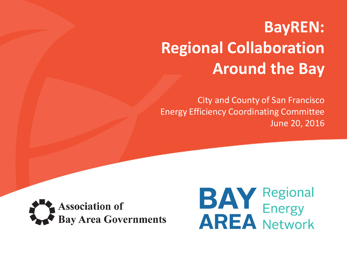## **BayREN: Regional Collaboration Around the Bay**

City and County of San Francisco Energy Efficiency Coordinating Committee June 20, 2016



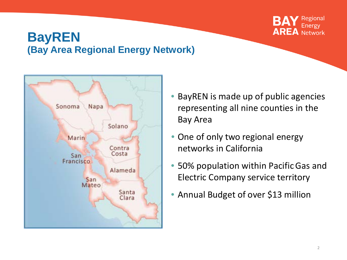

#### **BayREN (Bay Area Regional Energy Network)**



- BayREN is made up of public agencies representing all nine counties in the Bay Area
- One of only two regional energy networks in California
- 50% population within Pacific Gas and Electric Company service territory
- Annual Budget of over \$13 million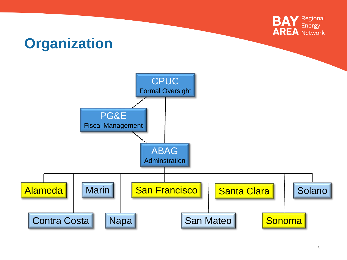

## **Organization**

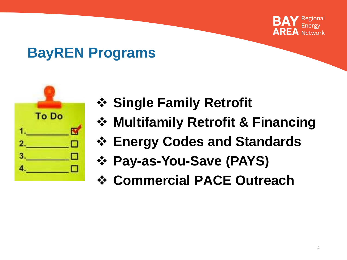

## **BayREN Programs**



- **❖ Single Family Retrofit**
- **Multifamily Retrofit & Financing**
- **Energy Codes and Standards**
- **Pay-as-You-Save (PAYS)**
- **Commercial PACE Outreach**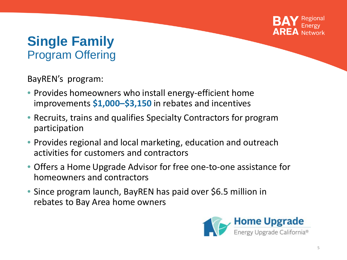

#### **Single Family**  Program Offering

BayREN's program:

- Provides homeowners who install energy-efficient home improvements **\$1,000–\$3,150** in rebates and incentives
- Recruits, trains and qualifies Specialty Contractors for program participation
- Provides regional and local marketing, education and outreach activities for customers and contractors
- Offers a Home Upgrade Advisor for free one-to-one assistance for homeowners and contractors
- Since program launch, BayREN has paid over \$6.5 million in rebates to Bay Area home owners

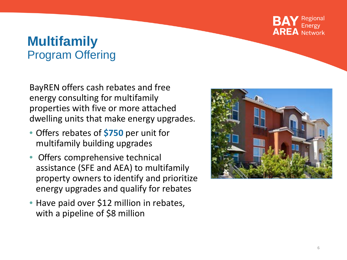

#### **Multifamily**  Program Offering

BayREN offers cash rebates and free energy consulting for multifamily properties with five or more attached dwelling units that make energy upgrades .

- Offers rebates of **\$750** per unit for multifamily building upgrades
- Offers comprehensive technical assistance (SFE and AEA) to multifamily property owners to identify and prioritize energy upgrades and qualify for rebates
- Have paid over \$12 million in rebates, with a pipeline of \$8 million

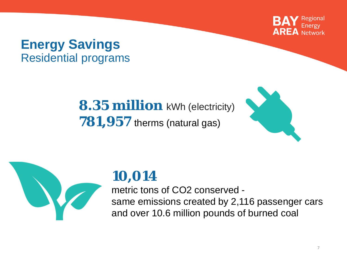

#### **Energy Savings** Residential programs

**8.35 million** kWh (electricity) **781,957** therms (natural gas)





#### **10,014**

metric tons of CO2 conserved same emissions created by 2,116 passenger cars and over 10.6 million pounds of burned coal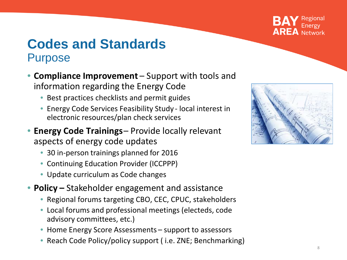

#### **Codes and Standards Purpose**

- **Compliance Improvement**  Support with tools and information regarding the Energy Code
	- Best practices checklists and permit guides
	- Energy Code Services Feasibility Study local interest in electronic resources/plan check services
- **Energy Code Trainings** Provide locally relevant aspects of energy code updates
	- 30 in-person trainings planned for 2016
	- Continuing Education Provider (ICCPPP)
	- Update curriculum as Code changes
- **Policy –** Stakeholder engagement and assistance
	- Regional forums targeting CBO, CEC, CPUC, stakeholders
	- Local forums and professional meetings (electeds, code advisory committees, etc.)
	- Home Energy Score Assessments support to assessors
	- Reach Code Policy/policy support (i.e. ZNE; Benchmarking)

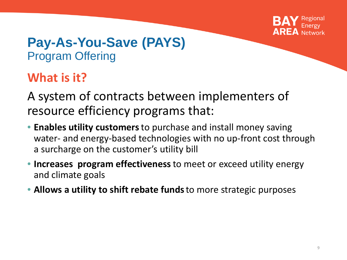

#### **Pay-As-You-Save (PAYS)**  Program Offering

#### **What is it?**

A system of contracts between implementers of resource efficiency programs that:

- **Enables utility customers** to purchase and install money saving water- and energy-based technologies with no up-front cost through a surcharge on the customer's utility bill
- **Increases program effectiveness** to meet or exceed utility energy and climate goals
- **Allows a utility to shift rebate funds** to more strategic purposes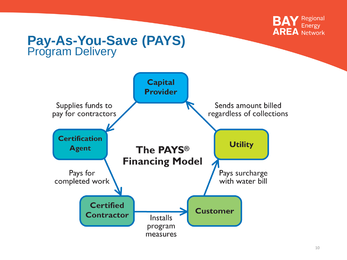

# **Pay-As-You-Save (PAYS)** Program Delivery

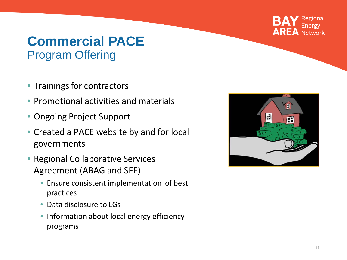

#### **Commercial PACE** Program Offering

- Trainings for contractors
- Promotional activities and materials
- Ongoing Project Support
- Created a PACE website by and for local governments
- Regional Collaborative Services Agreement (ABAG and SFE)
	- Ensure consistent implementation of best practices
	- Data disclosure to LGs
	- Information about local energy efficiency programs

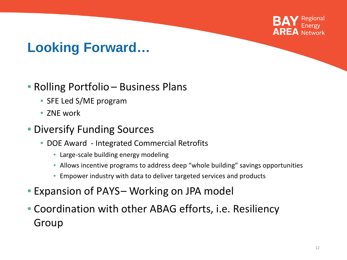

#### **Looking Forward…**

#### • Rolling Portfolio – Business Plans

- SFE Led S/ME program
- 7NF work

#### • Diversify Funding Sources

- DOE Award Integrated Commercial Retrofits
	- Large-scale building energy modeling
	- Allows incentive programs to address deep "whole building" savings opportunities
	- Empower industry with data to deliver targeted services and products
- Expansion of PAYS- Working on JPA model
- Coordination with other ABAG efforts, i.e. Resiliency Group